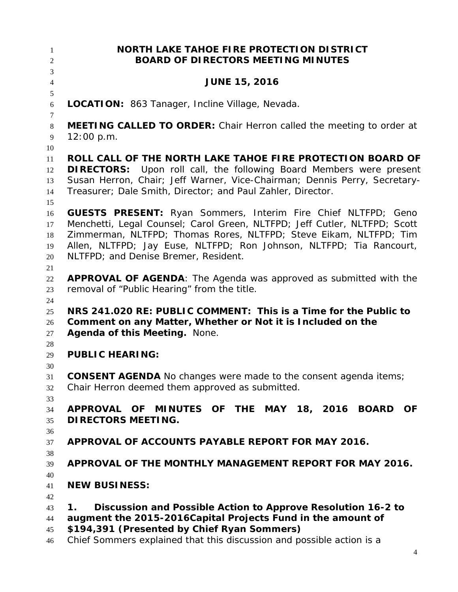| 1<br>$\mathfrak{2}$ | <b>NORTH LAKE TAHOE FIRE PROTECTION DISTRICT</b><br><b>BOARD OF DIRECTORS MEETING MINUTES</b> |
|---------------------|-----------------------------------------------------------------------------------------------|
| $\overline{3}$      |                                                                                               |
| $\overline{4}$      | <b>JUNE 15, 2016</b>                                                                          |
| $\mathfrak{S}$      |                                                                                               |
| 6                   | <b>LOCATION:</b> 863 Tanager, Incline Village, Nevada.                                        |
| 7                   |                                                                                               |
| $8\,$               | MEETING CALLED TO ORDER: Chair Herron called the meeting to order at                          |
| 9<br>10             | 12:00 p.m.                                                                                    |
| 11                  | ROLL CALL OF THE NORTH LAKE TAHOE FIRE PROTECTION BOARD OF                                    |
| 12                  | <b>DIRECTORS:</b> Upon roll call, the following Board Members were present                    |
| 13                  | Susan Herron, Chair; Jeff Warner, Vice-Chairman; Dennis Perry, Secretary-                     |
| 14                  | Treasurer; Dale Smith, Director; and Paul Zahler, Director.                                   |
| 15                  |                                                                                               |
| 16                  | <b>GUESTS PRESENT:</b> Ryan Sommers, Interim Fire Chief NLTFPD; Geno                          |
| 17                  | Menchetti, Legal Counsel; Carol Green, NLTFPD; Jeff Cutler, NLTFPD; Scott                     |
| 18                  | Zimmerman, NLTFPD; Thomas Rores, NLTFPD; Steve Eikam, NLTFPD; Tim                             |
| 19                  | Allen, NLTFPD; Jay Euse, NLTFPD; Ron Johnson, NLTFPD; Tia Rancourt,                           |
| 20                  | NLTFPD; and Denise Bremer, Resident.                                                          |
| 21                  |                                                                                               |
| 22                  | <b>APPROVAL OF AGENDA:</b> The Agenda was approved as submitted with the                      |
| 23                  | removal of "Public Hearing" from the title.                                                   |
| 24<br>25            | NRS 241.020 RE: PUBLIC COMMENT: This is a Time for the Public to                              |
| 26                  | Comment on any Matter, Whether or Not it is Included on the                                   |
| 27                  | Agenda of this Meeting. None.                                                                 |
| 28                  |                                                                                               |
| 29                  | <b>PUBLIC HEARING:</b>                                                                        |
| 30                  |                                                                                               |
| 31                  | <b>CONSENT AGENDA</b> No changes were made to the consent agenda items;                       |
| 32                  | Chair Herron deemed them approved as submitted.                                               |
| 33                  |                                                                                               |
| 34                  | APPROVAL OF MINUTES OF THE MAY 18, 2016<br><b>BOARD</b><br><b>OF</b>                          |
| 35                  | <b>DIRECTORS MEETING.</b>                                                                     |
| 36                  | APPROVAL OF ACCOUNTS PAYABLE REPORT FOR MAY 2016.                                             |
| 37                  |                                                                                               |
| 38<br>39            | APPROVAL OF THE MONTHLY MANAGEMENT REPORT FOR MAY 2016.                                       |
| 40                  |                                                                                               |
| 41                  | <b>NEW BUSINESS:</b>                                                                          |
| 42                  |                                                                                               |
| 43                  | Discussion and Possible Action to Approve Resolution 16-2 to<br>1.                            |
| 44                  | augment the 2015-2016Capital Projects Fund in the amount of                                   |
| 45                  | \$194,391 (Presented by Chief Ryan Sommers)                                                   |
| 46                  | Chief Sommers explained that this discussion and possible action is a                         |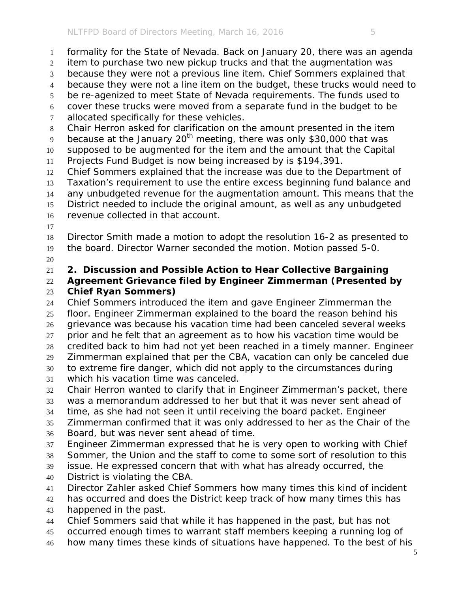formality for the State of Nevada. Back on January 20, there was an agenda item to purchase two new pickup trucks and that the augmentation was because they were not a previous line item. Chief Sommers explained that because they were not a line item on the budget, these trucks would need to be re-agenized to meet State of Nevada requirements. The funds used to cover these trucks were moved from a separate fund in the budget to be allocated specifically for these vehicles. Chair Herron asked for clarification on the amount presented in the item because at the January  $20<sup>th</sup>$  meeting, there was only \$30,000 that was supposed to be augmented for the item and the amount that the Capital Projects Fund Budget is now being increased by is \$194,391. Chief Sommers explained that the increase was due to the Department of Taxation's requirement to use the entire excess beginning fund balance and any unbudgeted revenue for the augmentation amount. This means that the District needed to include the original amount, as well as any unbudgeted revenue collected in that account.

- Director Smith made a motion to adopt the resolution 16-2 as presented to the board. Director Warner seconded the motion. Motion passed 5-0.
- 

**2. Discussion and Possible Action to Hear Collective Bargaining** 

### **Agreement Grievance filed by Engineer Zimmerman (Presented by Chief Ryan Sommers)**

 Chief Sommers introduced the item and gave Engineer Zimmerman the floor. Engineer Zimmerman explained to the board the reason behind his grievance was because his vacation time had been canceled several weeks prior and he felt that an agreement as to how his vacation time would be credited back to him had not yet been reached in a timely manner. Engineer Zimmerman explained that per the CBA, vacation can only be canceled due to extreme fire danger, which did not apply to the circumstances during which his vacation time was canceled.

- Chair Herron wanted to clarify that in Engineer Zimmerman's packet, there
- was a memorandum addressed to her but that it was never sent ahead of
- time, as she had not seen it until receiving the board packet. Engineer
- Zimmerman confirmed that it was only addressed to her as the Chair of the Board, but was never sent ahead of time.
- Engineer Zimmerman expressed that he is very open to working with Chief
- Sommer, the Union and the staff to come to some sort of resolution to this
- issue. He expressed concern that with what has already occurred, the District is violating the CBA.
- Director Zahler asked Chief Sommers how many times this kind of incident
- 42 has occurred and does the District keep track of how many times this has
- happened in the past.
- Chief Sommers said that while it has happened in the past, but has not
- occurred enough times to warrant staff members keeping a running log of
- how many times these kinds of situations have happened. To the best of his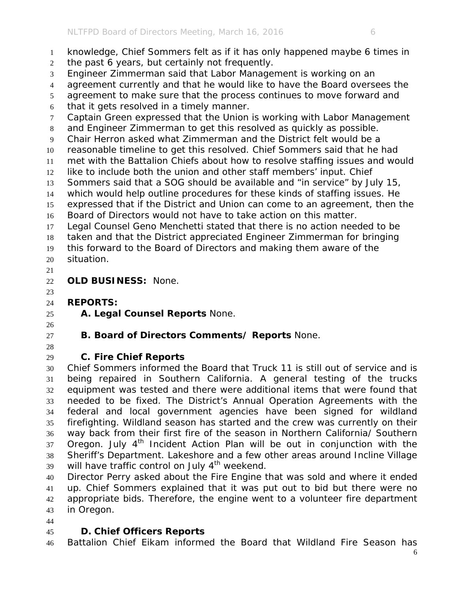- the past 6 years, but certainly not frequently.
- Engineer Zimmerman said that Labor Management is working on an
- agreement currently and that he would like to have the Board oversees the
- agreement to make sure that the process continues to move forward and
- that it gets resolved in a timely manner.
- Captain Green expressed that the Union is working with Labor Management
- and Engineer Zimmerman to get this resolved as quickly as possible.
- Chair Herron asked what Zimmerman and the District felt would be a
- reasonable timeline to get this resolved. Chief Sommers said that he had
- met with the Battalion Chiefs about how to resolve staffing issues and would like to include both the union and other staff members' input. Chief
- Sommers said that a SOG should be available and "in service" by July 15,
- which would help outline procedures for these kinds of staffing issues. He
- expressed that if the District and Union can come to an agreement, then the
- Board of Directors would not have to take action on this matter.
- Legal Counsel Geno Menchetti stated that there is no action needed to be
- taken and that the District appreciated Engineer Zimmerman for bringing this forward to the Board of Directors and making them aware of the
- situation.
- 

**OLD BUSINESS:** None.

#### **REPORTS:**

**A. Legal Counsel Reports** None.

- 
- 
- **B. Board of Directors Comments/ Reports** None.
- 

# **C. Fire Chief Reports**

 Chief Sommers informed the Board that Truck 11 is still out of service and is being repaired in Southern California. A general testing of the trucks equipment was tested and there were additional items that were found that needed to be fixed. The District's Annual Operation Agreements with the federal and local government agencies have been signed for wildland firefighting. Wildland season has started and the crew was currently on their way back from their first fire of the season in Northern California/ Southern Oregon. July  $4<sup>th</sup>$  Incident Action Plan will be out in conjunction with the Sheriff's Department. Lakeshore and a few other areas around Incline Village will have traffic control on July  $4<sup>th</sup>$  weekend.

 Director Perry asked about the Fire Engine that was sold and where it ended up. Chief Sommers explained that it was put out to bid but there were no appropriate bids. Therefore, the engine went to a volunteer fire department in Oregon.

# **D. Chief Officers Reports**

Battalion Chief Eikam informed the Board that Wildland Fire Season has